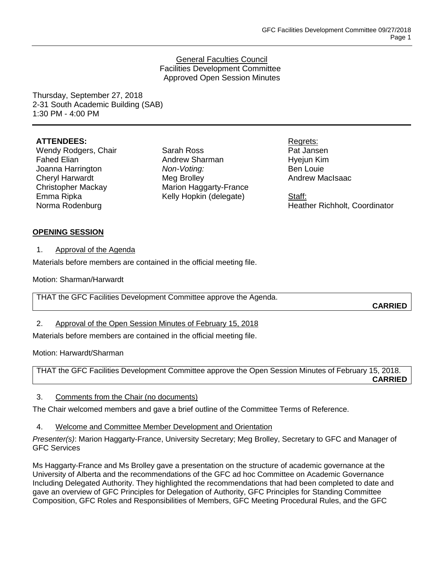#### General Faculties Council Facilities Development Committee Approved Open Session Minutes

Thursday, September 27, 2018 2-31 South Academic Building (SAB) 1:30 PM - 4:00 PM

### **ATTENDEES:**

Wendy Rodgers, Chair Fahed Elian Joanna Harrington Cheryl Harwardt Christopher Mackay Emma Ripka Norma Rodenburg

Sarah Ross Andrew Sharman *Non-Voting:* Meg Brolley Marion Haggarty-France Kelly Hopkin (delegate)

Regrets: Pat Jansen Hyejun Kim Ben Louie Andrew MacIsaac

Staff: Heather Richholt, Coordinator

### **OPENING SESSION**

1. Approval of the Agenda

Materials before members are contained in the official meeting file.

Motion: Sharman/Harwardt

THAT the GFC Facilities Development Committee approve the Agenda.

**CARRIED**

## 2. Approval of the Open Session Minutes of February 15, 2018

Materials before members are contained in the official meeting file.

Motion: Harwardt/Sharman

THAT the GFC Facilities Development Committee approve the Open Session Minutes of February 15, 2018. **CARRIED**

## 3. Comments from the Chair (no documents)

The Chair welcomed members and gave a brief outline of the Committee Terms of Reference.

4. Welcome and Committee Member Development and Orientation

*Presenter(s)*: Marion Haggarty-France, University Secretary; Meg Brolley, Secretary to GFC and Manager of GFC Services

Ms Haggarty-France and Ms Brolley gave a presentation on the structure of academic governance at the University of Alberta and the recommendations of the GFC ad hoc Committee on Academic Governance Including Delegated Authority. They highlighted the recommendations that had been completed to date and gave an overview of GFC Principles for Delegation of Authority, GFC Principles for Standing Committee Composition, GFC Roles and Responsibilities of Members, GFC Meeting Procedural Rules, and the GFC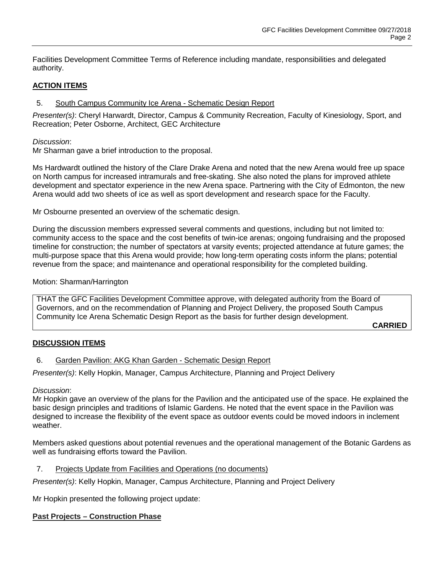Facilities Development Committee Terms of Reference including mandate, responsibilities and delegated authority.

# **ACTION ITEMS**

## 5. South Campus Community Ice Arena - Schematic Design Report

*Presenter(s)*: Cheryl Harwardt, Director, Campus & Community Recreation, Faculty of Kinesiology, Sport, and Recreation; Peter Osborne, Architect, GEC Architecture

*Discussion*:

Mr Sharman gave a brief introduction to the proposal.

Ms Hardwardt outlined the history of the Clare Drake Arena and noted that the new Arena would free up space on North campus for increased intramurals and free-skating. She also noted the plans for improved athlete development and spectator experience in the new Arena space. Partnering with the City of Edmonton, the new Arena would add two sheets of ice as well as sport development and research space for the Faculty.

Mr Osbourne presented an overview of the schematic design.

During the discussion members expressed several comments and questions, including but not limited to: community access to the space and the cost benefits of twin-ice arenas; ongoing fundraising and the proposed timeline for construction; the number of spectators at varsity events; projected attendance at future games; the multi-purpose space that this Arena would provide; how long-term operating costs inform the plans; potential revenue from the space; and maintenance and operational responsibility for the completed building.

### Motion: Sharman/Harrington

THAT the GFC Facilities Development Committee approve, with delegated authority from the Board of Governors, and on the recommendation of Planning and Project Delivery, the proposed South Campus Community Ice Arena Schematic Design Report as the basis for further design development.

**CARRIED**

## **DISCUSSION ITEMS**

6. Garden Pavilion: AKG Khan Garden - Schematic Design Report

*Presenter(s)*: Kelly Hopkin, Manager, Campus Architecture, Planning and Project Delivery

#### *Discussion*:

Mr Hopkin gave an overview of the plans for the Pavilion and the anticipated use of the space. He explained the basic design principles and traditions of Islamic Gardens. He noted that the event space in the Pavilion was designed to increase the flexibility of the event space as outdoor events could be moved indoors in inclement weather.

Members asked questions about potential revenues and the operational management of the Botanic Gardens as well as fundraising efforts toward the Pavilion.

#### 7. Projects Update from Facilities and Operations (no documents)

*Presenter(s)*: Kelly Hopkin, Manager, Campus Architecture, Planning and Project Delivery

Mr Hopkin presented the following project update:

## **Past Projects – Construction Phase**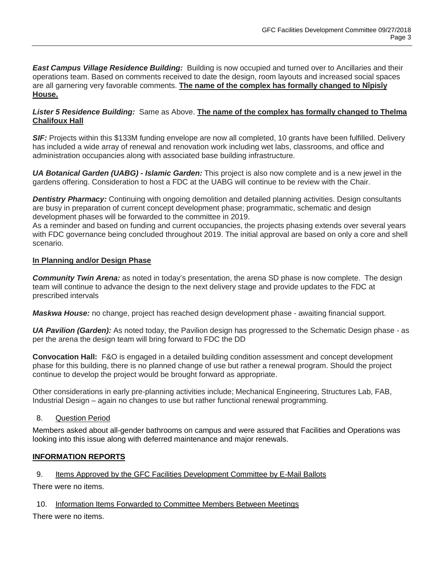*East Campus Village Residence Building:* Building is now occupied and turned over to Ancillaries and their operations team. Based on comments received to date the design, room layouts and increased social spaces are all garnering very favorable comments. **The name of the complex has formally changed to Nîpisîy House.**

## *Lister 5 Residence Building:* Same as Above. **The name of the complex has formally changed to Thelma Chalifoux Hall**

*SIF:* Projects within this \$133M funding envelope are now all completed, 10 grants have been fulfilled. Delivery has included a wide array of renewal and renovation work including wet labs, classrooms, and office and administration occupancies along with associated base building infrastructure.

*UA Botanical Garden (UABG) - Islamic Garden:* This project is also now complete and is a new jewel in the gardens offering. Consideration to host a FDC at the UABG will continue to be review with the Chair.

**Dentistry Pharmacy:** Continuing with ongoing demolition and detailed planning activities. Design consultants are busy in preparation of current concept development phase; programmatic, schematic and design development phases will be forwarded to the committee in 2019.

As a reminder and based on funding and current occupancies, the projects phasing extends over several years with FDC governance being concluded throughout 2019. The initial approval are based on only a core and shell scenario.

## **In Planning and/or Design Phase**

*Community Twin Arena:* as noted in today's presentation, the arena SD phase is now complete. The design team will continue to advance the design to the next delivery stage and provide updates to the FDC at prescribed intervals

*Maskwa House:* no change, project has reached design development phase - awaiting financial support.

*UA Pavilion (Garden):* As noted today, the Pavilion design has progressed to the Schematic Design phase - as per the arena the design team will bring forward to FDC the DD

**Convocation Hall:** F&O is engaged in a detailed building condition assessment and concept development phase for this building, there is no planned change of use but rather a renewal program. Should the project continue to develop the project would be brought forward as appropriate.

Other considerations in early pre-planning activities include; Mechanical Engineering, Structures Lab, FAB, Industrial Design – again no changes to use but rather functional renewal programming.

## 8. Question Period

Members asked about all-gender bathrooms on campus and were assured that Facilities and Operations was looking into this issue along with deferred maintenance and major renewals.

# **INFORMATION REPORTS**

## 9. Items Approved by the GFC Facilities Development Committee by E-Mail Ballots

There were no items.

## 10. Information Items Forwarded to Committee Members Between Meetings

There were no items.